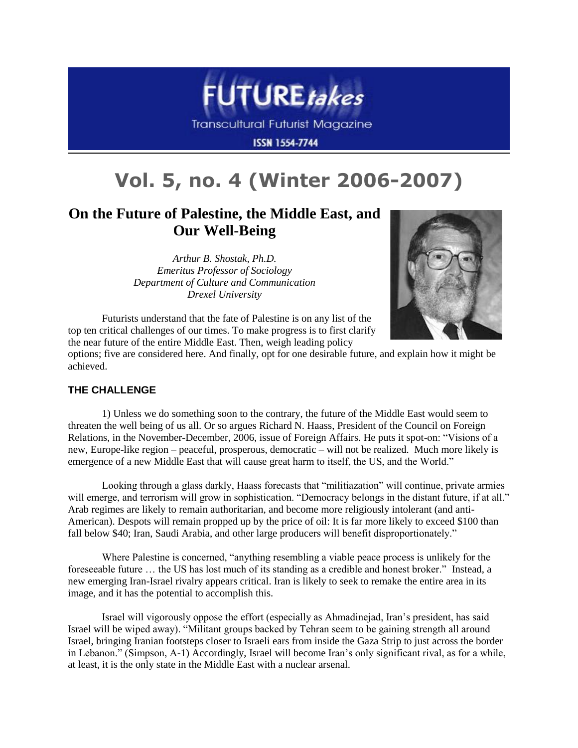

Transcultural Futurist Magazine

**ISSN 1554-7744** 

# **Vol. 5, no. 4 (Winter 2006-2007)**

# **On the Future of Palestine, the Middle East, and Our Well-Being**

*Arthur B. Shostak, Ph.D. Emeritus Professor of Sociology Department of Culture and Communication Drexel University*



Futurists understand that the fate of Palestine is on any list of the top ten critical challenges of our times. To make progress is to first clarify the near future of the entire Middle East. Then, weigh leading policy

options; five are considered here. And finally, opt for one desirable future, and explain how it might be achieved.

### **THE CHALLENGE**

1) Unless we do something soon to the contrary, the future of the Middle East would seem to threaten the well being of us all. Or so argues Richard N. Haass, President of the Council on Foreign Relations, in the November-December, 2006, issue of Foreign Affairs. He puts it spot-on: "Visions of a new, Europe-like region – peaceful, prosperous, democratic – will not be realized. Much more likely is emergence of a new Middle East that will cause great harm to itself, the US, and the World."

Looking through a glass darkly, Haass forecasts that "militiazation" will continue, private armies will emerge, and terrorism will grow in sophistication. "Democracy belongs in the distant future, if at all." Arab regimes are likely to remain authoritarian, and become more religiously intolerant (and anti-American). Despots will remain propped up by the price of oil: It is far more likely to exceed \$100 than fall below \$40; Iran, Saudi Arabia, and other large producers will benefit disproportionately."

Where Palestine is concerned, "anything resembling a viable peace process is unlikely for the foreseeable future … the US has lost much of its standing as a credible and honest broker." Instead, a new emerging Iran-Israel rivalry appears critical. Iran is likely to seek to remake the entire area in its image, and it has the potential to accomplish this.

Israel will vigorously oppose the effort (especially as Ahmadinejad, Iran's president, has said Israel will be wiped away). "Militant groups backed by Tehran seem to be gaining strength all around Israel, bringing Iranian footsteps closer to Israeli ears from inside the Gaza Strip to just across the border in Lebanon." (Simpson, A-1) Accordingly, Israel will become Iran's only significant rival, as for a while, at least, it is the only state in the Middle East with a nuclear arsenal.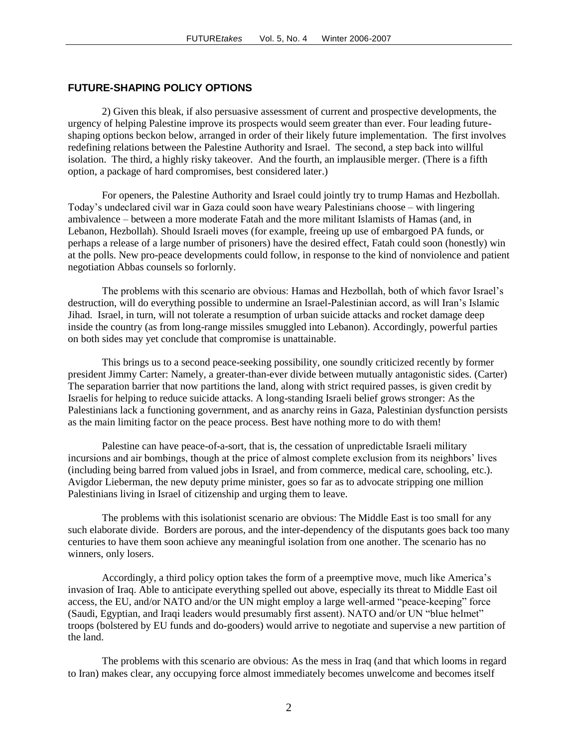#### **FUTURE-SHAPING POLICY OPTIONS**

2) Given this bleak, if also persuasive assessment of current and prospective developments, the urgency of helping Palestine improve its prospects would seem greater than ever. Four leading futureshaping options beckon below, arranged in order of their likely future implementation. The first involves redefining relations between the Palestine Authority and Israel. The second, a step back into willful isolation. The third, a highly risky takeover. And the fourth, an implausible merger. (There is a fifth option, a package of hard compromises, best considered later.)

For openers, the Palestine Authority and Israel could jointly try to trump Hamas and Hezbollah. Today's undeclared civil war in Gaza could soon have weary Palestinians choose – with lingering ambivalence – between a more moderate Fatah and the more militant Islamists of Hamas (and, in Lebanon, Hezbollah). Should Israeli moves (for example, freeing up use of embargoed PA funds, or perhaps a release of a large number of prisoners) have the desired effect, Fatah could soon (honestly) win at the polls. New pro-peace developments could follow, in response to the kind of nonviolence and patient negotiation Abbas counsels so forlornly.

The problems with this scenario are obvious: Hamas and Hezbollah, both of which favor Israel's destruction, will do everything possible to undermine an Israel-Palestinian accord, as will Iran's Islamic Jihad. Israel, in turn, will not tolerate a resumption of urban suicide attacks and rocket damage deep inside the country (as from long-range missiles smuggled into Lebanon). Accordingly, powerful parties on both sides may yet conclude that compromise is unattainable.

This brings us to a second peace-seeking possibility, one soundly criticized recently by former president Jimmy Carter: Namely, a greater-than-ever divide between mutually antagonistic sides. (Carter) The separation barrier that now partitions the land, along with strict required passes, is given credit by Israelis for helping to reduce suicide attacks. A long-standing Israeli belief grows stronger: As the Palestinians lack a functioning government, and as anarchy reins in Gaza, Palestinian dysfunction persists as the main limiting factor on the peace process. Best have nothing more to do with them!

Palestine can have peace-of-a-sort, that is, the cessation of unpredictable Israeli military incursions and air bombings, though at the price of almost complete exclusion from its neighbors' lives (including being barred from valued jobs in Israel, and from commerce, medical care, schooling, etc.). Avigdor Lieberman, the new deputy prime minister, goes so far as to advocate stripping one million Palestinians living in Israel of citizenship and urging them to leave.

The problems with this isolationist scenario are obvious: The Middle East is too small for any such elaborate divide. Borders are porous, and the inter-dependency of the disputants goes back too many centuries to have them soon achieve any meaningful isolation from one another. The scenario has no winners, only losers.

Accordingly, a third policy option takes the form of a preemptive move, much like America's invasion of Iraq. Able to anticipate everything spelled out above, especially its threat to Middle East oil access, the EU, and/or NATO and/or the UN might employ a large well-armed "peace-keeping" force (Saudi, Egyptian, and Iraqi leaders would presumably first assent). NATO and/or UN "blue helmet" troops (bolstered by EU funds and do-gooders) would arrive to negotiate and supervise a new partition of the land.

The problems with this scenario are obvious: As the mess in Iraq (and that which looms in regard to Iran) makes clear, any occupying force almost immediately becomes unwelcome and becomes itself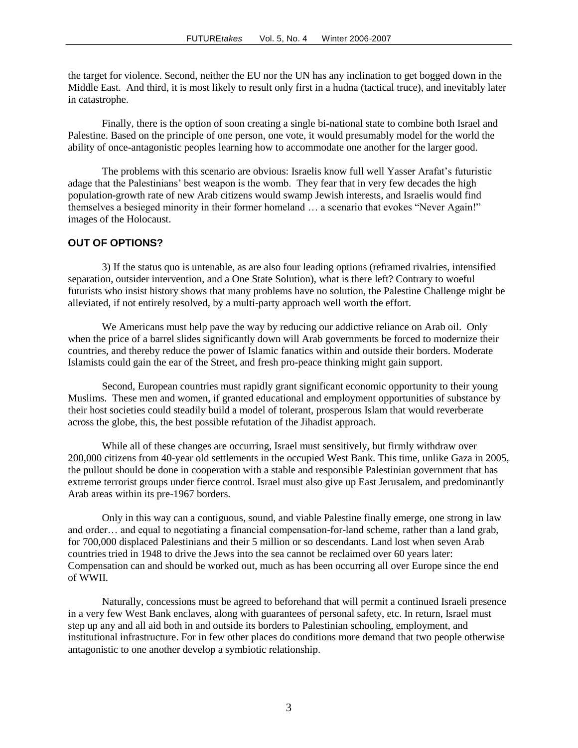the target for violence. Second, neither the EU nor the UN has any inclination to get bogged down in the Middle East. And third, it is most likely to result only first in a hudna (tactical truce), and inevitably later in catastrophe.

Finally, there is the option of soon creating a single bi-national state to combine both Israel and Palestine. Based on the principle of one person, one vote, it would presumably model for the world the ability of once-antagonistic peoples learning how to accommodate one another for the larger good.

The problems with this scenario are obvious: Israelis know full well Yasser Arafat's futuristic adage that the Palestinians' best weapon is the womb. They fear that in very few decades the high population-growth rate of new Arab citizens would swamp Jewish interests, and Israelis would find themselves a besieged minority in their former homeland … a scenario that evokes "Never Again!" images of the Holocaust.

#### **OUT OF OPTIONS?**

3) If the status quo is untenable, as are also four leading options (reframed rivalries, intensified separation, outsider intervention, and a One State Solution), what is there left? Contrary to woeful futurists who insist history shows that many problems have no solution, the Palestine Challenge might be alleviated, if not entirely resolved, by a multi-party approach well worth the effort.

We Americans must help pave the way by reducing our addictive reliance on Arab oil. Only when the price of a barrel slides significantly down will Arab governments be forced to modernize their countries, and thereby reduce the power of Islamic fanatics within and outside their borders. Moderate Islamists could gain the ear of the Street, and fresh pro-peace thinking might gain support.

Second, European countries must rapidly grant significant economic opportunity to their young Muslims. These men and women, if granted educational and employment opportunities of substance by their host societies could steadily build a model of tolerant, prosperous Islam that would reverberate across the globe, this, the best possible refutation of the Jihadist approach.

While all of these changes are occurring, Israel must sensitively, but firmly withdraw over 200,000 citizens from 40-year old settlements in the occupied West Bank. This time, unlike Gaza in 2005, the pullout should be done in cooperation with a stable and responsible Palestinian government that has extreme terrorist groups under fierce control. Israel must also give up East Jerusalem, and predominantly Arab areas within its pre-1967 borders.

Only in this way can a contiguous, sound, and viable Palestine finally emerge, one strong in law and order… and equal to negotiating a financial compensation-for-land scheme, rather than a land grab, for 700,000 displaced Palestinians and their 5 million or so descendants. Land lost when seven Arab countries tried in 1948 to drive the Jews into the sea cannot be reclaimed over 60 years later: Compensation can and should be worked out, much as has been occurring all over Europe since the end of WWII.

Naturally, concessions must be agreed to beforehand that will permit a continued Israeli presence in a very few West Bank enclaves, along with guarantees of personal safety, etc. In return, Israel must step up any and all aid both in and outside its borders to Palestinian schooling, employment, and institutional infrastructure. For in few other places do conditions more demand that two people otherwise antagonistic to one another develop a symbiotic relationship.